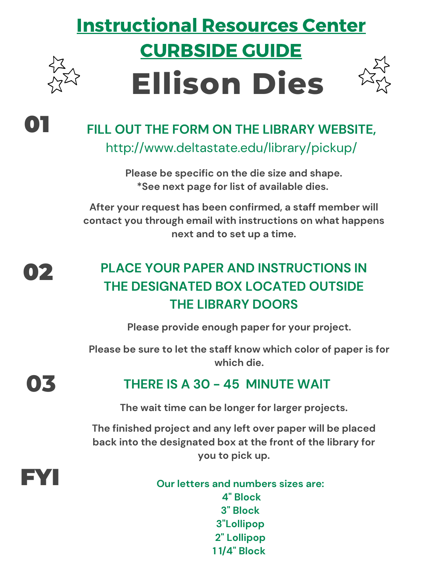# Instructional Resources Center CURBSIDE GUIDE **Ellison Dies**



## 01 **FILL OUT THE FORM ON THE LIBRARY WEBSITE,**

http://www.deltastate.edu/library/pickup/

**Please be specific on the die size and shape. \*See next page for list of available dies.**

**After your request has been confirmed, a staff member will contact you through email with instructions on what happens next and to set up a time.**

### 02 **PLACE YOUR PAPER AND INSTRUCTIONS IN THE DESIGNATED BOX LOCATED OUTSIDE THE LIBRARY DOORS**

**Please provide enough paper for your project.**

**Please be sure to let the staff know which color of paper is for which die.**

# **03 THERE IS <sup>A</sup> <sup>30</sup> - <sup>45</sup> MINUTE WAIT**

**The wait time can be longer for larger projects.**

**The finished project and any left over paper will be placed back into the designated box at the front of the library for you to pick up.**

FYI **Our letters and numbers sizes are: 4" Block 3" Block 3"Lollipop 2" Lollipop 1 1/4" Block**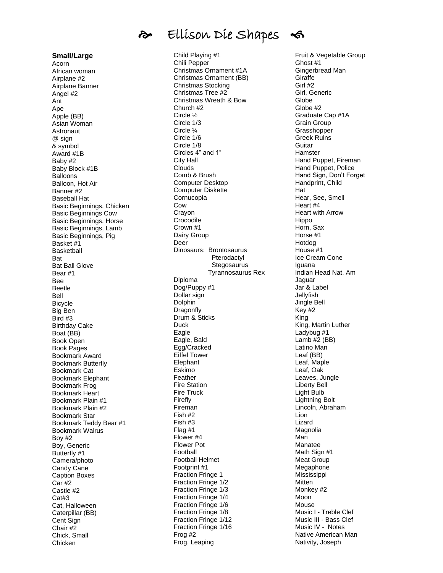# Ellison Die Shapes

**Small/Large** Acorn African woman Airplane #2 Airplane Banner Angel #2 Ant Ape Apple (BB) Asian Woman **Astronaut** @ sign & symbol Award #1B Baby #2 Baby Block #1B Balloons Balloon, Hot Air Banner #2 Baseball Hat Basic Beginnings, Chicken Basic Beginnings Cow Basic Beginnings, Horse Basic Beginnings, Lamb Basic Beginnings, Pig Basket #1 Basketball **Bat** Bat Ball Glove Bear #1 **Bee** Beetle Bell Bicycle Big Ben Bird #3 Birthday Cake Boat (BB) Book Open Book Pages Bookmark Award Bookmark Butterfly Bookmark Cat Bookmark Elephant Bookmark Frog Bookmark Heart Bookmark Plain #1 Bookmark Plain #2 Bookmark Star Bookmark Teddy Bear #1 Bookmark Walrus Boy #2 Boy, Generic Butterfly #1 Camera/photo Candy Cane Caption Boxes Car #2 Castle #2 Cat#3 Cat, Halloween Caterpillar (BB) Cent Sign Chair #2 Chick, Small Chicken

Child Playing #1 Chili Pepper Christmas Ornament #1A Christmas Ornament (BB) Christmas Stocking Christmas Tree #2 Christmas Wreath & Bow Church #2 Circle ½ Circle 1/3 Circle ¼ Circle 1/6 Circle 1/8 Circles 4" and 1" City Hall Clouds Comb & Brush Computer Desktop Computer Diskette Cornucopia Cow Crayon Crocodile Crown #1 Dairy Group Deer Dinosaurs: Brontosaurus Pterodactyl Stegosaurus Tyrannosaurus Rex Diploma Dog/Puppy #1 Dollar sign Dolphin Dragonfly Drum & Sticks **Duck Eagle** Eagle, Bald Egg/Cracked Eiffel Tower Elephant Eskimo Feather Fire Station Fire Truck Firefly Fireman Fish #2 Fish #3 Flag #1 Flower #4 Flower Pot Football Football Helmet Footprint #1 Fraction Fringe 1 Fraction Fringe 1/2 Fraction Fringe 1/3 Fraction Fringe 1/4 Fraction Fringe 1/6 Fraction Fringe 1/8 Fraction Fringe 1/12 Fraction Fringe 1/16 Frog #2 Frog, Leaping

Fruit & Vegetable Group Ghost #1 Gingerbread Man Giraffe Girl #2 Girl, Generic **Globe** Globe #2 Graduate Cap #1A Grain Group **Grasshopper** Greek Ruins Guitar **Hamster** Hand Puppet, Fireman Hand Puppet, Police Hand Sign, Don't Forget Handprint, Child Hat Hear, See, Smell Heart #4 Heart with Arrow Hippo Horn, Sax Horse #1 Hotdog House #1 Ice Cream Cone Iguana Indian Head Nat. Am Jaguar Jar & Label Jellyfish Jingle Bell Key #2 King King, Martin Luther Ladybug #1 Lamb #2 (BB) Latino Man Leaf (BB) Leaf, Maple Leaf, Oak Leaves, Jungle Liberty Bell Light Bulb Lightning Bolt Lincoln, Abraham Lion Lizard Magnolia Man Manatee Math Sign #1 Meat Group Megaphone Mississippi **Mitten** Monkey #2 Moon Mouse Music I - Treble Clef Music III - Bass Clef Music IV - Notes Native American Man Nativity, Joseph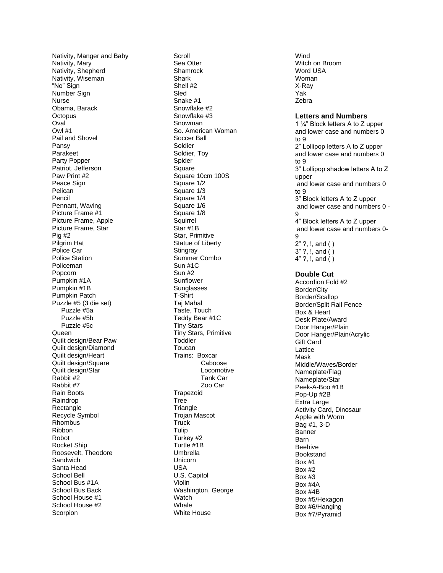Nativity, Manger and Baby Nativity, Mary Nativity, Shepherd Nativity, Wiseman "No" Sign Number Sign Nurse Obama, Barack **Octopus** Oval Owl #1 Pail and Shovel Pansy Parakeet Party Popper Patriot, Jefferson Paw Print #2 Peace Sign Pelican Pencil Pennant, Waving Picture Frame #1 Picture Frame, Apple Picture Frame, Star Pig #2 Pilgrim Hat Police Car Police Station Policeman Popcorn Pumpkin #1A Pumpkin #1B Pumpkin Patch Puzzle #5 (3 die set) Puzzle #5a Puzzle #5b Puzzle #5c **Queen** Quilt design/Bear Paw Quilt design/Diamond Quilt design/Heart Quilt design/Square Quilt design/Star Rabbit #2 Rabbit #7 Rain Boots Raindrop Rectangle Recycle Symbol Rhombus Ribbon Robot Rocket Ship Roosevelt, Theodore **Sandwich** Santa Head School Bell School Bus #1A School Bus Back School House #1 School House #2 **Scorpion** 

Scroll Sea Otte r **Shamrock Shark** Shell #2 Sled Snake #1 Snowflake #2 Snowflake #3 Snowman So. American Woman Soccer Ball Soldier Soldier, Toy Spider **Square** Square 10cm 100S Square 1/2 Square 1/3 Square 1/4 Square 1/6 Square 1/8 **Squirrel** Star #1B Star, Primitive Statue of Liberty **Stingray** Summer Combo Sun #1C Sun #2 Sunflower **Sunglasses** T-Shirt Taj Mahal Taste, Touch Teddy Bear #1C Tiny Stars Tiny Stars, Primitive **Toddler** Toucan Trains: Boxcar Caboose Locomotive Tank Car Zoo Car Trapezoid Tree **Triangle** Trojan Mascot **Truck Tulip** Turkey #2 Turtle #1B Umbrella Unicorn USA U.S. Capitol Violin Washington, George **Watch Whale** White House

Wind Witch on Broom Word USA Woman X-Ray Yak Zebra

#### **Letters and Numbers**

1 ¼" Block letters A to Z upper and lower case and numbers 0 to 9 2" Lollipop letters A to Z upper and lower case and numbers 0 to 9 3" Lollipop shadow letters A to Z upper and lower case and numbers 0 to 9 3" Block letters A to Z upper and lower case and numbers 0 - 9 4" Block letters A to Z upper and lower case and numbers 0 - 9 2" ?, !, and ( )  $3"$  ?, !, and  $()$ 4" ?,  $!,$  and  $()$ **Double Cut** Accordion Fold #2 Border/City Border/Scallop Border/Split Rail Fence Box & Heart Desk Plate/Award Door Hanger/Plain Door Hanger/Plain/Acrylic Gift Card Lattice Mask Middle/Waves/Border Nameplate/Flag Nameplate/Star Peek - A -Boo #1B Pop -Up #2B Extra Large Activity Card, Dinosaur Apple with Worm Bag #1, 3 - D Banner Barn Beehive Bookstand Box #1 Box #2 Box #3 Box #4A Box #4B Box #5/Hexagon Box #6/Hanging Box #7/Pyramid